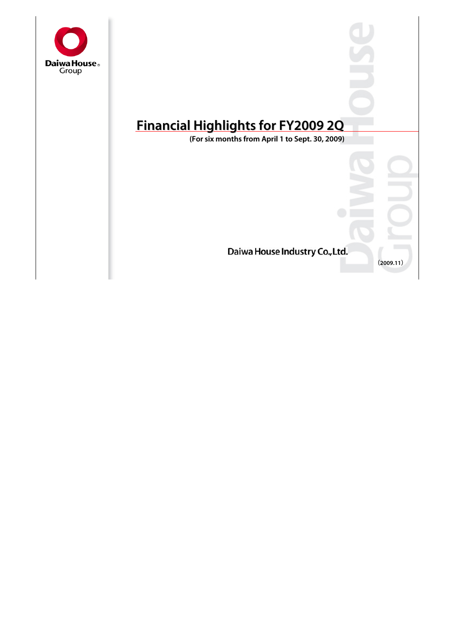

# **Financial Highlights for FY2009 2Q Financial Highlights for FY2009 2Q**

**(For six months from April 1 to Sept. 30, 2009) (For six months from April 1 to Sept. 30, 2009)**

Daiwa House Industry Co., Ltd.

**(2009.11)**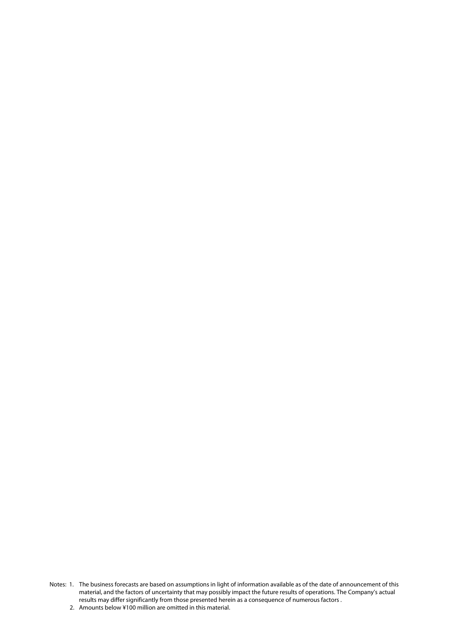- Notes: 1. The business forecasts are based on assumptions in light of information available as of the date of announcement of this material, and the factors of uncertainty that may possibly impact the future results of operations. The Company's actual results may differ significantly from those presented herein as a consequence of numerous factors .
	- 2. Amounts below ¥100 million are omitted in this material.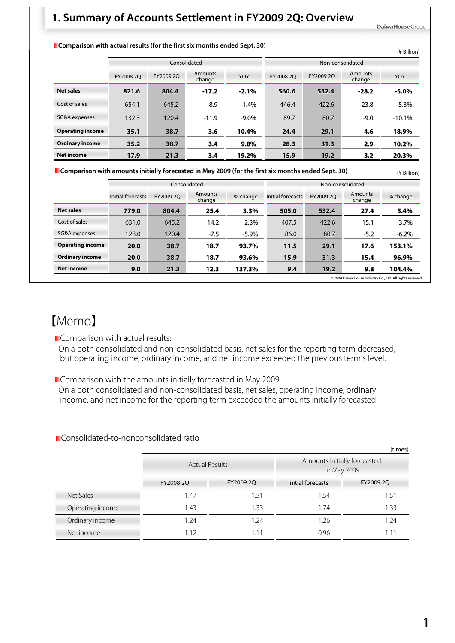#### **1. Summary of Accounts Settlement in FY2009 2Q: Overview**

Daiwa House Group

(¥ Billion)

#### **E** Comparison with actual results (for the first six months ended Sept. 30)

|                         |           |              |                   |           |                  |                   |         | (¥ Billion) |  |  |
|-------------------------|-----------|--------------|-------------------|-----------|------------------|-------------------|---------|-------------|--|--|
|                         |           | Consolidated |                   |           | Non-consolidated |                   |         |             |  |  |
|                         | FY2008 2O | FY2009 2O    | Amounts<br>change | FY2008 2O | FY2009 2O        | Amounts<br>change | YOY     |             |  |  |
| <b>Net sales</b>        | 821.6     | 804.4        | $-17.2$           | $-2.1%$   | 560.6            | 532.4             | $-28.2$ | $-5.0%$     |  |  |
| Cost of sales           | 654.1     | 645.2        | $-8.9$            | $-1.4%$   | 446.4            | 422.6             | $-23.8$ | $-5.3%$     |  |  |
| SG&A expenses           | 132.3     | 120.4        | $-11.9$           | $-9.0\%$  | 89.7             | 80.7              | $-9.0$  | $-10.1%$    |  |  |
| <b>Operating income</b> | 35.1      | 38.7         | 3.6               | 10.4%     | 24.4             | 29.1              | 4.6     | 18.9%       |  |  |
| <b>Ordinary income</b>  | 35.2      | 38.7         | 3.4               | 9.8%      | 28.3             | 31.3              | 2.9     | 10.2%       |  |  |
| <b>Net income</b>       | 17.9      | 21.3         | 3.4               | 19.2%     | 15.9             | 19.2              | 3.2     | 20.3%       |  |  |

**Comparison with amounts initially forecasted in May 2009 (for the first six months ended Sept. 30)**

|                                                            |                   |           | Consolidated      |          | Non-consolidated  |           |                   |          |  |  |
|------------------------------------------------------------|-------------------|-----------|-------------------|----------|-------------------|-----------|-------------------|----------|--|--|
|                                                            | Initial forecasts | FY2009 2O | Amounts<br>change | % change | Initial forecasts | FY2009 2O | Amounts<br>change | % change |  |  |
| <b>Net sales</b>                                           | 779.0             | 804.4     | 25.4              | 3.3%     | 505.0             | 532.4     | 27.4              | 5.4%     |  |  |
| Cost of sales                                              | 631.0             | 645.2     | 14.2              | 2.3%     | 407.5             | 422.6     | 15.1              | 3.7%     |  |  |
| SG&A expenses                                              | 128.0             | 120.4     | $-7.5$            | $-5.9\%$ | 86.0              | 80.7      | $-5.2$            | $-6.2\%$ |  |  |
| <b>Operating income</b>                                    | 20.0              | 38.7      | 18.7              | 93.7%    | 11.5              | 29.1      | 17.6              | 153.1%   |  |  |
| <b>Ordinary income</b>                                     | 20.0              | 38.7      | 18.7              | 93.6%    | 15.9              | 31.3      | 15.4              | 96.9%    |  |  |
| <b>Net income</b>                                          | 9.0               | 21.3      | 12.3              | 137.3%   | 9.4               | 19.2      | 9.8               | 104.4%   |  |  |
| © 2009 Daiwa House Industry Co., Ltd. All rights reserved. |                   |           |                   |          |                   |           |                   |          |  |  |

#### 【Memo】

Comparison with actual results:

On a both consolidated and non-consolidated basis, net sales for the reporting term decreased, but operating income, ordinary income, and net income exceeded the previous term's level.

**Comparison with the amounts initially forecasted in May 2009:** 

On a both consolidated and non-consolidated basis, net sales, operating income, ordinary income, and net income for the reporting term exceeded the amounts initially forecasted.

**Consolidated-to-nonconsolidated ratio** 

|                  |                       |           |                   | (times)                                     |
|------------------|-----------------------|-----------|-------------------|---------------------------------------------|
|                  | <b>Actual Results</b> |           |                   | Amounts initially forecasted<br>in May 2009 |
|                  | FY2008 2Q             | FY2009 2Q | Initial forecasts | FY2009 2Q                                   |
| Net Sales        | 1.47                  | 1.51      | 1.54              | 1.51                                        |
| Operating income | 1.43                  | 1.33      | 1.74              | 1.33                                        |
| Ordinary income  | 1.24                  | 1.24      | 1.26              | 1.24                                        |
| Net income       | 1.12                  | 1.11      | 0.96              | 1.11                                        |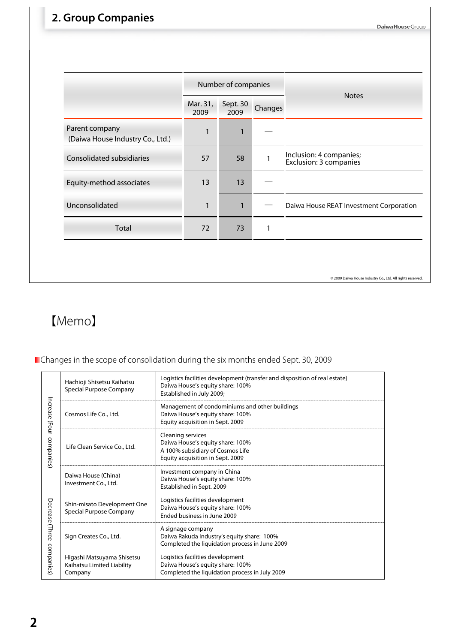### **2. Group Companies**

|                                                    |                  | Number of companies |         |                                                   |  |  |
|----------------------------------------------------|------------------|---------------------|---------|---------------------------------------------------|--|--|
|                                                    | Mar. 31,<br>2009 | Sept. 30<br>2009    | Changes | <b>Notes</b>                                      |  |  |
| Parent company<br>(Daiwa House Industry Co., Ltd.) | $\mathbf{1}$     | $\mathbf{1}$        |         |                                                   |  |  |
| Consolidated subsidiaries                          | 57               | 58                  |         | Inclusion: 4 companies;<br>Exclusion: 3 companies |  |  |
| Equity-method associates                           | 13               | 13                  |         |                                                   |  |  |
| Unconsolidated                                     | 1                | $\mathbf{1}$        |         | Daiwa House REAT Investment Corporation           |  |  |
| Total                                              | 72               | 73                  | 1       |                                                   |  |  |

© 2009 Daiwa House Industry Co., Ltd. All rights reserved.

# 【Memo】

#### **Changes in the scope of consolidation during the six months ended Sept. 30, 2009**

|                                 | Hachioji Shisetsu Kaihatsu<br>Special Purpose Company               | Logistics facilities development (transfer and disposition of real estate)<br>Daiwa House's equity share: 100%<br>Established in July 2009; |
|---------------------------------|---------------------------------------------------------------------|---------------------------------------------------------------------------------------------------------------------------------------------|
| Increase<br>(Four<br>companies) | Cosmos Life Co., Ltd.                                               | Management of condominiums and other buildings<br>Daiwa House's equity share: 100%<br>Equity acquisition in Sept. 2009                      |
|                                 | Life Clean Service Co., Ltd.                                        | <b>Cleaning services</b><br>Daiwa House's equity share: 100%<br>A 100% subsidiary of Cosmos Life<br>Equity acquisition in Sept. 2009        |
|                                 | Daiwa House (China)<br>Investment Co., Ltd.                         | Investment company in China<br>Daiwa House's equity share: 100%<br>Established in Sept. 2009                                                |
| Decrease                        | Shin-misato Development One<br>Special Purpose Company              | Logistics facilities development<br>Daiwa House's equity share: 100%<br>Ended business in June 2009                                         |
| (Three                          | Sign Creates Co., Ltd.                                              | A signage company<br>Daiwa Rakuda Industry's equity share: 100%<br>Completed the liquidation process in June 2009                           |
| companies)                      | Higashi Matsuyama Shisetsu<br>Kaihatsu Limited Liability<br>Company | Logistics facilities development<br>Daiwa House's equity share: 100%<br>Completed the liquidation process in July 2009                      |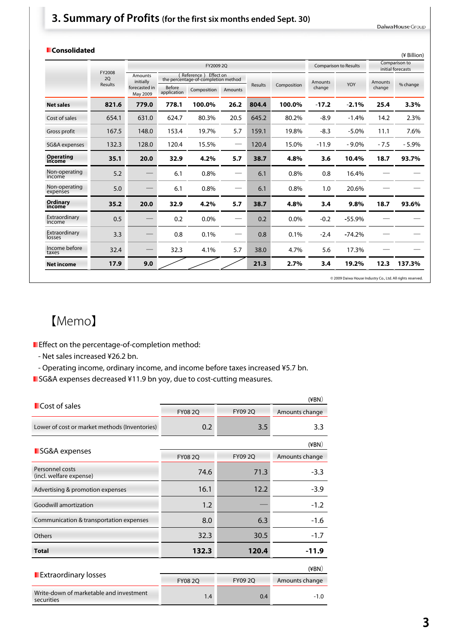#### **3. Summary of Profits (for the first six months ended Sept. 30)**

Daiwa House Group

| <b>Consolidated</b>        |              |                             |                       |                                                                |         |         |             |         |                              |                | (¥ Billion)                        |
|----------------------------|--------------|-----------------------------|-----------------------|----------------------------------------------------------------|---------|---------|-------------|---------|------------------------------|----------------|------------------------------------|
|                            |              |                             |                       | FY2009 2Q                                                      |         |         |             |         | <b>Comparison to Results</b> |                | Comparison to<br>initial forecasts |
|                            | FY2008<br>2Q | <b>Amounts</b><br>initially |                       | Effect on<br>Reference)<br>the percentage-of-completion method |         |         |             | Amounts |                              | <b>Amounts</b> |                                    |
|                            | Results      | forecasted in<br>May 2009   | Before<br>application | Composition                                                    | Amounts | Results | Composition | change  | YOY                          | change         | % change                           |
| <b>Net sales</b>           | 821.6        | 779.0                       | 778.1                 | 100.0%                                                         | 26.2    | 804.4   | 100.0%      | $-17.2$ | $-2.1%$                      | 25.4           | 3.3%                               |
| Cost of sales              | 654.1        | 631.0                       | 624.7                 | 80.3%                                                          | 20.5    | 645.2   | 80.2%       | $-8.9$  | $-1.4%$                      | 14.2           | 2.3%                               |
| Gross profit               | 167.5        | 148.0                       | 153.4                 | 19.7%                                                          | 5.7     | 159.1   | 19.8%       | $-8.3$  | $-5.0\%$                     | 11.1           | 7.6%                               |
| SG&A expenses              | 132.3        | 128.0                       | 120.4                 | 15.5%                                                          |         | 120.4   | 15.0%       | $-11.9$ | $-9.0\%$                     | $-7.5$         | $-5.9%$                            |
| <b>Operating</b><br>income | 35.1         | 20.0                        | 32.9                  | 4.2%                                                           | 5.7     | 38.7    | 4.8%        | 3.6     | 10.4%                        | 18.7           | 93.7%                              |
| Non-operating<br>income    | 5.2          |                             | 6.1                   | 0.8%                                                           |         | 6.1     | 0.8%        | 0.8     | 16.4%                        |                |                                    |
| Non-operating<br>expenses  | 5.0          |                             | 6.1                   | 0.8%                                                           |         | 6.1     | 0.8%        | 1.0     | 20.6%                        |                |                                    |
| Ordinary<br>income         | 35.2         | 20.0                        | 32.9                  | 4.2%                                                           | 5.7     | 38.7    | 4.8%        | 3.4     | 9.8%                         | 18.7           | 93.6%                              |
| Extraordinary<br>income    | 0.5          |                             | 0.2                   | 0.0%                                                           |         | 0.2     | 0.0%        | $-0.2$  | $-55.9%$                     |                |                                    |
| Extraordinary<br>losses    | 3.3          |                             | 0.8                   | 0.1%                                                           | --      | 0.8     | 0.1%        | $-2.4$  | $-74.2%$                     |                |                                    |
| Income before<br>taxes     | 32.4         |                             | 32.3                  | 4.1%                                                           | 5.7     | 38.0    | 4.7%        | 5.6     | 17.3%                        |                |                                    |
| <b>Net income</b>          | 17.9         | 9.0                         |                       |                                                                |         | 21.3    | 2.7%        | 3.4     | 19.2%                        | 12.3           | 137.3%                             |

© 2009 Daiwa House Industry Co., Ltd. All rights reserved.

### 【Memo】

**E** Effect on the percentage-of-completion method:

- Net sales increased ¥26.2 bn.
- Operating income, ordinary income, and income before taxes increased ¥5.7 bn.
- **SG&A** expenses decreased ¥11.9 bn yoy, due to cost-cutting measures.

|                                                       |                |                | $(\angle$ BN $)$ |  |
|-------------------------------------------------------|----------------|----------------|------------------|--|
| Cost of sales                                         | <b>FY08 2Q</b> | <b>FY09 2Q</b> | Amounts change   |  |
| Lower of cost or market methods (Inventories)         | 0.2            | 3.5            | 3.3              |  |
|                                                       |                |                | $(\angle$ BN $)$ |  |
| SG&A expenses                                         | <b>FY08 2Q</b> | <b>FY09 2Q</b> | Amounts change   |  |
| Personnel costs<br>(incl. welfare expense)            | 74.6           | 71.3           | $-3.3$           |  |
| Advertising & promotion expenses                      | 16.1           | 12.2           | $-3.9$           |  |
| Goodwill amortization                                 | 1.2            |                | $-1.2$           |  |
| Communication & transportation expenses               | 8.0            | 6.3            | $-1.6$           |  |
| Others                                                | 32.3           | 30.5           | $-1.7$           |  |
| <b>Total</b>                                          | 132.3          | 120.4          | $-11.9$          |  |
|                                                       |                |                | $(\angle$ BN $)$ |  |
| <b>Extraordinary losses</b>                           | <b>FY08 2Q</b> | FY09 2Q        | Amounts change   |  |
| Write-down of marketable and investment<br>securities | 1.4            | 0.4            | $-1.0$           |  |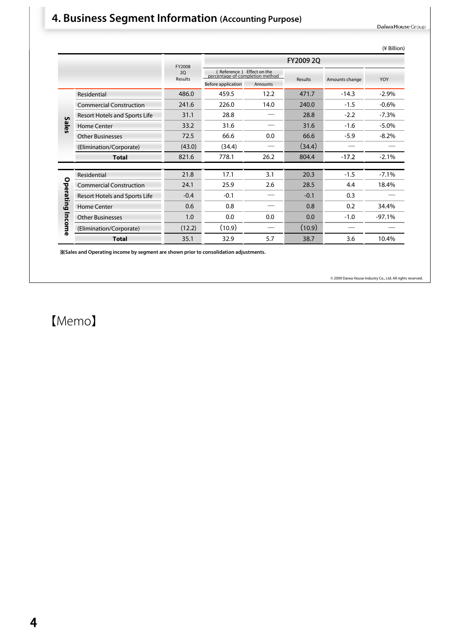### **4. Business Segment Information (Accounting Purpose)**

Daiwa House Group

|              |                                |                      |                                                              |         |           |                | (¥ Billion) |
|--------------|--------------------------------|----------------------|--------------------------------------------------------------|---------|-----------|----------------|-------------|
|              |                                | FY2008               |                                                              |         | FY2009 20 |                |             |
|              |                                | <b>2Q</b><br>Results | (Reference) Effect on the<br>percentage-of-completion method |         |           |                |             |
|              |                                |                      | Before application                                           | Amounts | Results   | Amounts change | YOY         |
|              | Residential                    | 486.0                | 459.5                                                        | 12.2    | 471.7     | $-14.3$        | $-2.9%$     |
|              | <b>Commercial Construction</b> | 241.6                | 226.0                                                        | 14.0    | 240.0     | $-1.5$         | $-0.6%$     |
|              | Resort Hotels and Sports Life  | 31.1                 | 28.8                                                         |         | 28.8      | $-2.2$         | $-7.3%$     |
| <b>Sales</b> | Home Center                    | 33.2                 | 31.6                                                         |         | 31.6      | $-1.6$         | $-5.0%$     |
|              | <b>Other Businesses</b>        | 72.5                 | 66.6                                                         | 0.0     | 66.6      | $-5.9$         | $-8.2%$     |
|              | (Elimination/Corporate)        | (43.0)               | (34.4)                                                       |         | (34.4)    |                |             |
|              | <b>Total</b>                   | 821.6                | 778.1                                                        | 26.2    | 804.4     | $-17.2$        | $-2.1%$     |
|              |                                |                      |                                                              |         |           |                |             |
|              | Residential                    | 21.8                 | 17.1                                                         | 3.1     | 20.3      | $-1.5$         | $-7.1%$     |
|              | <b>Commercial Construction</b> | 24.1                 | 25.9                                                         | 2.6     | 28.5      | 4.4            | 18.4%       |
| Operating    | Resort Hotels and Sports Life  | $-0.4$               | $-0.1$                                                       |         | $-0.1$    | 0.3            |             |
|              | Home Center                    | 0.6                  | 0.8                                                          |         | 0.8       | 0.2            | 34.4%       |
|              | <b>Other Businesses</b>        | 1.0                  | 0.0                                                          | 0.0     | 0.0       | $-1.0$         | $-97.1%$    |
| Income       | (Elimination/Corporate)        | (12.2)               | (10.9)                                                       |         | (10.9)    |                |             |
|              | <b>Total</b>                   | 35.1                 | 32.9                                                         | 5.7     | 38.7      | 3.6            | 10.4%       |

※**Sales and Operating income by segment are shown prior to consolidation adjustments.**

© 2009 Daiwa House Industry Co., Ltd. All rights reserved.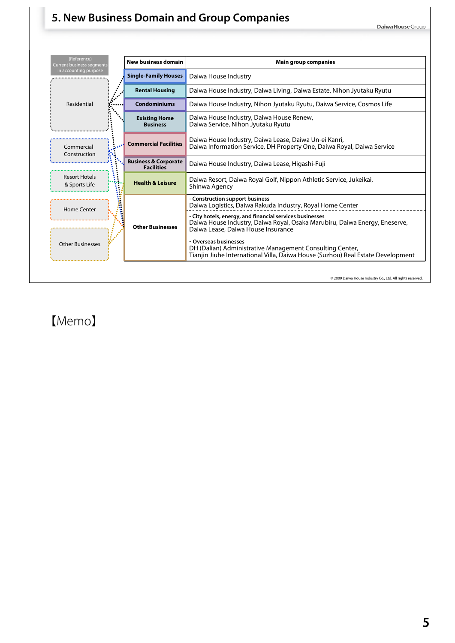

#### **5. New Business Domain and Group Companies**



【Memo】

5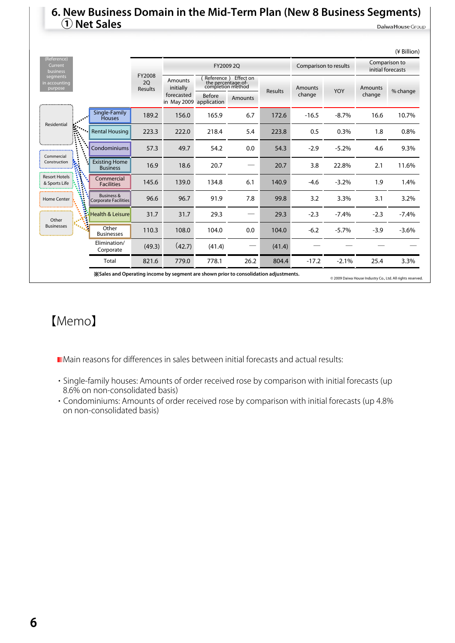#### **6. New Business Domain in the Mid-Term Plan (New 8 Business Segments) ① Net Sales** Daiwa House Group

|                                       |                                                                                       |        |                                           |                                                   |                                  |                |                       |         |                                    | (¥ Billion)                                               |
|---------------------------------------|---------------------------------------------------------------------------------------|--------|-------------------------------------------|---------------------------------------------------|----------------------------------|----------------|-----------------------|---------|------------------------------------|-----------------------------------------------------------|
| (Reference)<br>Current<br>business    |                                                                                       |        |                                           | FY2009 2Q                                         |                                  |                | Comparison to results |         | Comparison to<br>initial forecasts |                                                           |
| segments<br>n accounting<br>purpose   | FY2008<br>20<br>Results                                                               |        | <b>Amounts</b><br>initially<br>forecasted | the percentage-of-<br>completion method<br>Before | Reference ) Effect on<br>Amounts | <b>Results</b> | Amounts<br>change     | YOY     | Amounts<br>change                  | % change                                                  |
|                                       |                                                                                       |        | in May 2009                               | application                                       |                                  |                |                       |         |                                    |                                                           |
|                                       | Single-Family<br><b>Houses</b>                                                        | 189.2  | 156.0                                     | 165.9                                             | 6.7                              | 172.6          | $-16.5$               | $-8.7%$ | 16.6                               | 10.7%                                                     |
| Residential                           | <b>Rental Housing</b>                                                                 | 223.3  | 222.0                                     | 218.4                                             | 5.4                              | 223.8          | 0.5                   | 0.3%    | 1.8                                | 0.8%                                                      |
| Commercial                            | Condominiums                                                                          | 57.3   | 49.7                                      | 54.2                                              | 0.0                              | 54.3           | $-2.9$                | $-5.2%$ | 4.6                                | 9.3%                                                      |
| Construction                          | <b>Existing Home</b><br><b>Business</b>                                               | 16.9   | 18.6                                      | 20.7                                              |                                  | 20.7           | 3.8                   | 22.8%   | 2.1                                | 11.6%                                                     |
| <b>Resort Hotels</b><br>& Sports Life | Commercial<br><b>Facilities</b>                                                       | 145.6  | 139.0                                     | 134.8                                             | 6.1                              | 140.9          | $-4.6$                | $-3.2%$ | 1.9                                | 1.4%                                                      |
| Home Center                           | Business &<br>Corporate Facilities                                                    | 96.6   | 96.7                                      | 91.9                                              | 7.8                              | 99.8           | 3.2                   | 3.3%    | 3.1                                | 3.2%                                                      |
| Other                                 | <b>Health &amp; Leisure</b>                                                           | 31.7   | 31.7                                      | 29.3                                              | -                                | 29.3           | $-2.3$                | $-7.4%$ | $-2.3$                             | $-7.4%$                                                   |
| <b>Businesses</b>                     | Other<br><b>Businesses</b>                                                            | 110.3  | 108.0                                     | 104.0                                             | 0.0                              | 104.0          | $-6.2$                | $-5.7%$ | $-3.9$                             | $-3.6%$                                                   |
|                                       | Elimination/<br>Corporate                                                             | (49.3) | (42.7)                                    | (41.4)                                            |                                  | (41.4)         |                       |         |                                    |                                                           |
|                                       | Total                                                                                 | 821.6  | 779.0                                     | 778.1                                             | 26.2                             | 804.4          | $-17.2$               | $-2.1%$ | 25.4                               | 3.3%                                                      |
|                                       | X Sales and Operating income by segment are shown prior to consolidation adjustments. |        |                                           |                                                   |                                  |                |                       |         |                                    | C 2009 Daiwa House Industry Co., Ltd. All rights reserved |

## 【Memo】

Main reasons for differences in sales between initial forecasts and actual results:

- ・ Single-family houses: Amounts of order received rose by comparison with initial forecasts (up 8.6% on non-consolidated basis)
- ・ Condominiums: Amounts of order received rose by comparison with initial forecasts (up 4.8% on non-consolidated basis)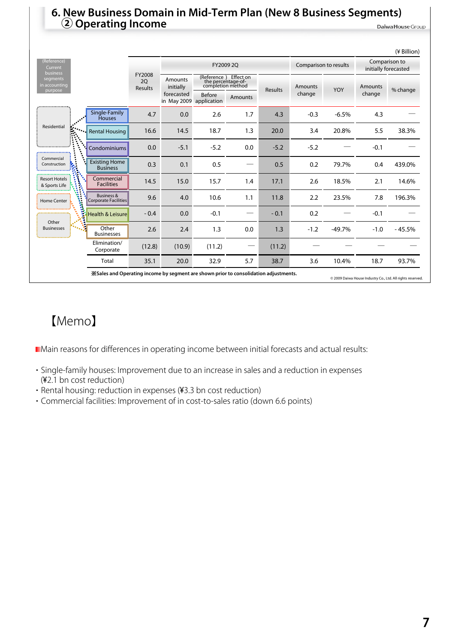# **6. New Business Domain in Mid-Term Plan (New 8 Business Segments) <sup>②</sup> Operating Income**

|                                                      |                                                                                                                                                    |                         |                           |                                                                  |         |         |                       |          |                                       | (¥ Billion) |
|------------------------------------------------------|----------------------------------------------------------------------------------------------------------------------------------------------------|-------------------------|---------------------------|------------------------------------------------------------------|---------|---------|-----------------------|----------|---------------------------------------|-------------|
| (Reference)<br>Current                               |                                                                                                                                                    |                         |                           | FY2009 2Q                                                        |         |         | Comparison to results |          | Comparison to<br>initially forecasted |             |
| business<br>segments<br>in accounting<br>purpose<br> |                                                                                                                                                    | FY2008<br>20<br>Results | Amounts<br>initially      | (Reference) Effect on<br>the percentage-of-<br>completion method |         | Results | <b>Amounts</b>        | YOY      | Amounts                               | % change    |
|                                                      |                                                                                                                                                    |                         | forecasted<br>in May 2009 | <b>Before</b><br>application                                     | Amounts |         | change                |          | change                                |             |
|                                                      | Single-Family<br><b>Houses</b>                                                                                                                     | 4.7                     | 0.0                       | 2.6                                                              | 1.7     | 4.3     | $-0.3$                | $-6.5%$  | 4.3                                   |             |
| Residential                                          | <b>Rental Housing</b>                                                                                                                              | 16.6                    | 14.5                      | 18.7                                                             | 1.3     | 20.0    | 3.4                   | 20.8%    | 5.5                                   | 38.3%       |
|                                                      | Condominiums                                                                                                                                       | 0.0                     | $-5.1$                    | $-5.2$                                                           | 0.0     | $-5.2$  | $-5.2$                |          | $-0.1$                                |             |
| Commercial<br>Construction                           | <b>Existing Home</b><br><b>Business</b>                                                                                                            | 0.3                     | 0.1                       | 0.5                                                              |         | 0.5     | 0.2                   | 79.7%    | 0.4                                   | 439.0%      |
| <b>Resort Hotels</b><br>& Sports Life                | Commercial<br><b>Facilities</b>                                                                                                                    | 14.5                    | 15.0                      | 15.7                                                             | 1.4     | 17.1    | 2.6                   | 18.5%    | 2.1                                   | 14.6%       |
| <b>Home Center</b><br>ł,                             | <b>Business &amp;</b><br>Corporate Facilities                                                                                                      | 9.6                     | 4.0                       | 10.6                                                             | 1.1     | 11.8    | 2.2                   | 23.5%    | 7.8                                   | 196.3%      |
| Other                                                | <b>Health &amp; Leisure</b>                                                                                                                        | $-0.4$                  | 0.0                       | $-0.1$                                                           |         | $-0.1$  | 0.2                   |          | $-0.1$                                |             |
| <b>Businesses</b>                                    | Other<br><b>Businesses</b>                                                                                                                         | 2.6                     | 2.4                       | 1.3                                                              | 0.0     | 1.3     | $-1.2$                | $-49.7%$ | $-1.0$                                | $-45.5%$    |
|                                                      | Elimination/<br>Corporate                                                                                                                          | (12.8)                  | (10.9)                    | (11.2)                                                           |         | (11.2)  |                       |          |                                       |             |
|                                                      | Total                                                                                                                                              | 35.1                    | 20.0                      | 32.9                                                             | 5.7     | 38.7    | 3.6                   | 10.4%    | 18.7                                  | 93.7%       |
|                                                      | .Sales and Operating income by segment are shown prior to consolidation adjustments.<br>© 2009 Daiwa House Industry Co., Ltd. All rights reserved. |                         |                           |                                                                  |         |         |                       |          |                                       |             |

# 【Memo】

Main reasons for differences in operating income between initial forecasts and actual results:

- ・ Single-family houses: Improvement due to an increase in sales and a reduction in expenses (¥2.1 bn cost reduction)
- ・ Rental housing: reduction in expenses (¥3.3 bn cost reduction)
- ・ Commercial facilities: Improvement of in cost-to-sales ratio (down 6.6 points)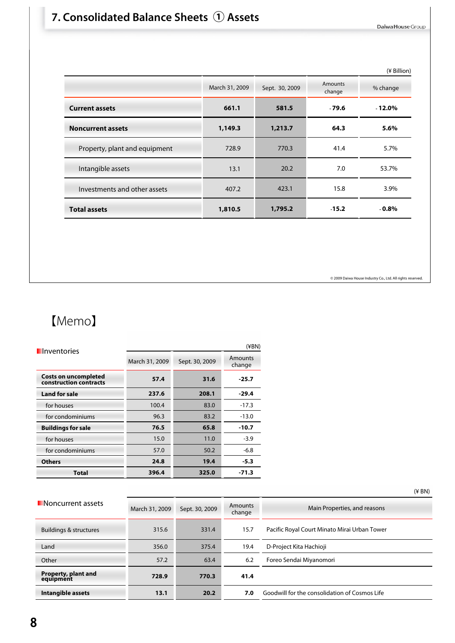### **7. Consolidated Balance Sheets ① Assets**

Daiwa House Group

|                               |                |                |                          | (¥ Billion) |
|-------------------------------|----------------|----------------|--------------------------|-------------|
|                               | March 31, 2009 | Sept. 30, 2009 | <b>Amounts</b><br>change | % change    |
| <b>Current assets</b>         | 661.1          | 581.5          | $-79.6$                  | $-12.0%$    |
| <b>Noncurrent assets</b>      | 1,149.3        | 1,213.7        | 64.3                     | 5.6%        |
| Property, plant and equipment | 728.9          | 770.3          | 41.4                     | 5.7%        |
| Intangible assets             | 13.1           | 20.2           | 7.0                      | 53.7%       |
| Investments and other assets  | 407.2          | 423.1          | 15.8                     | 3.9%        |
| <b>Total assets</b>           | 1,810.5        | 1,795.2        | $-15.2$                  | $-0.8\%$    |
|                               |                |                |                          |             |

© 2009 Daiwa House Industry Co., Ltd. All rights reserved.

| <b>I</b> Inventories                                  | $(\nexists$ BN) |                |                   |  |  |  |  |  |
|-------------------------------------------------------|-----------------|----------------|-------------------|--|--|--|--|--|
|                                                       | March 31, 2009  | Sept. 30, 2009 | Amounts<br>change |  |  |  |  |  |
| <b>Costs on uncompleted</b><br>construction contracts | 57.4            | 31.6           | $-25.7$           |  |  |  |  |  |
| <b>Land for sale</b>                                  | 237.6           | 208.1          | $-29.4$           |  |  |  |  |  |
| for houses                                            | 100.4           | 83.0           | $-17.3$           |  |  |  |  |  |
| for condominiums                                      | 96.3            | 83.2           | $-13.0$           |  |  |  |  |  |
| <b>Buildings for sale</b>                             | 76.5            | 65.8           | $-10.7$           |  |  |  |  |  |
| for houses                                            | 15.0            | 11.0           | $-3.9$            |  |  |  |  |  |
| for condominiums                                      | 57.0            | 50.2           | $-6.8$            |  |  |  |  |  |
| <b>Others</b>                                         | 24.8            | 19.4           | $-5.3$            |  |  |  |  |  |
| <b>Total</b>                                          | 396.4           | 325.0          | $-71.3$           |  |  |  |  |  |

|                                  |                |                |                          | $(4$ BN)                                      |
|----------------------------------|----------------|----------------|--------------------------|-----------------------------------------------|
| <b>Noncurrent assets</b>         | March 31, 2009 | Sept. 30, 2009 | <b>Amounts</b><br>change | Main Properties, and reasons                  |
| Buildings & structures           | 315.6          | 331.4          | 15.7                     | Pacific Royal Court Minato Mirai Urban Tower  |
| Land                             | 356.0          | 375.4          | 19.4                     | D-Project Kita Hachioji                       |
| Other                            | 57.2           | 63.4           | 6.2                      | Foreo Sendai Miyanomori                       |
| Property, plant and<br>equipment | 728.9          | 770.3          | 41.4                     |                                               |
| Intangible assets                | 13.1           | 20.2           | 7.0                      | Goodwill for the consolidation of Cosmos Life |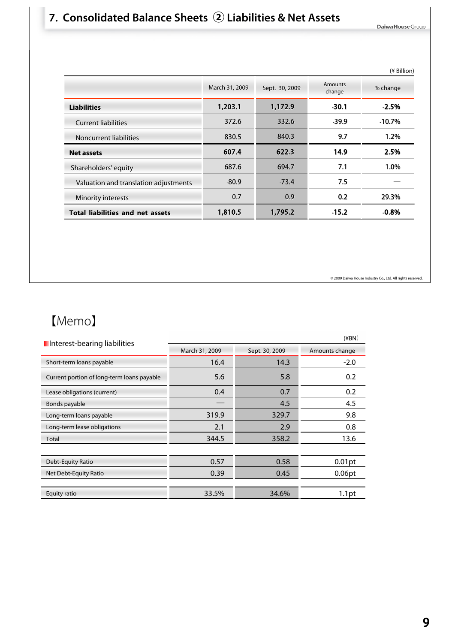### **7. Consolidated Balance Sheets ② Liabilities & Net Assets**

Daiwa House Group

|                |                |                   | (¥ Billion) |
|----------------|----------------|-------------------|-------------|
| March 31, 2009 | Sept. 30, 2009 | Amounts<br>change | % change    |
| 1,203.1        | 1,172.9        | $-30.1$           | $-2.5%$     |
| 372.6          | 332.6          | $-39.9$           | $-10.7%$    |
| 830.5          | 840.3          | 9.7               | 1.2%        |
| 607.4          | 622.3          | 14.9              | 2.5%        |
| 687.6          | 694.7          | 7.1               | 1.0%        |
| $-80.9$        | $-73.4$        | 7.5               |             |
| 0.7            | 0.9            | 0.2               | 29.3%       |
| 1,810.5        | 1,795.2        | $-15.2$           | $-0.8%$     |
|                |                |                   |             |

© 2009 Daiwa House Industry Co., Ltd. All rights reserved.

| I Interest-bearing liabilities             |                |                | $(\angle$ BN $)$  |
|--------------------------------------------|----------------|----------------|-------------------|
|                                            | March 31, 2009 | Sept. 30, 2009 | Amounts change    |
| Short-term loans payable                   | 16.4           | 14.3           | $-2.0$            |
| Current portion of long-term loans payable | 5.6            | 5.8            | 0.2               |
| Lease obligations (current)                | 0.4            | 0.7            | 0.2               |
| Bonds payable                              |                | 4.5            | 4.5               |
| Long-term loans payable                    | 319.9          | 329.7          | 9.8               |
| Long-term lease obligations                | 2.1            | 2.9            | 0.8               |
| Total                                      | 344.5          | 358.2          | 13.6              |
|                                            |                |                |                   |
| Debt-Equity Ratio                          | 0.57           | 0.58           | $0.01$ pt         |
| Net Debt-Equity Ratio                      | 0.39           | 0.45           | 0.06pt            |
|                                            |                |                |                   |
| Equity ratio                               | 33.5%          | 34.6%          | 1.1 <sub>pt</sub> |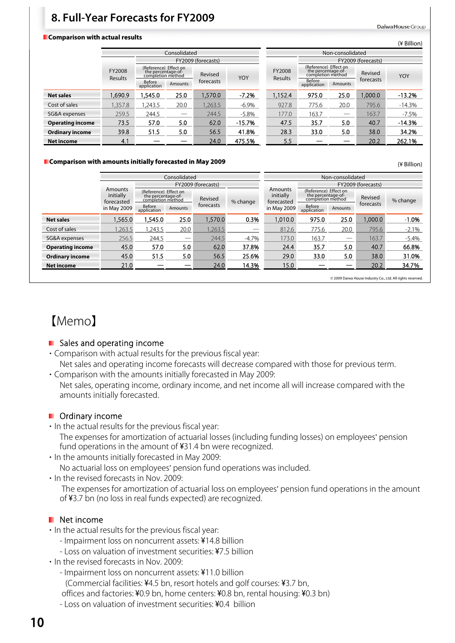### **8. Full-Year Forecasts for FY2009**

#### **Comparison with actual results**

|                         |                   |                                                                  | Consolidated |                    |          | Non-consolidated  |                                                                  |         |                    |          |  |
|-------------------------|-------------------|------------------------------------------------------------------|--------------|--------------------|----------|-------------------|------------------------------------------------------------------|---------|--------------------|----------|--|
|                         |                   |                                                                  |              | FY2009 (forecasts) |          |                   |                                                                  |         | FY2009 (forecasts) |          |  |
|                         | FY2008<br>Results | (Reference) Effect on<br>the percentage-of-<br>completion method |              | Revised            | YOY      | FY2008<br>Results | (Reference) Effect on<br>the percentage-of-<br>completion method |         | Revised            | YOY      |  |
|                         |                   | Before<br>application                                            | Amounts      | forecasts          |          |                   | Before<br>application                                            | Amounts | forecasts          |          |  |
| <b>Net sales</b>        | .690.9            | 1.545.0                                                          | 25.0         | 1,570.0            | $-7.2%$  | 1.152.4           | 975.0                                                            | 25.0    | 1,000.0            | $-13.2%$ |  |
| Cost of sales           | .357.8            | .243.5                                                           | 20.0         | 1,263.5            | $-6.9%$  | 927.8             | 775.6                                                            | 20.0    | 795.6              | $-14.3%$ |  |
| SG&A expenses           | 259.5             | 244.5                                                            |              | 244.5              | $-5.8%$  | 177.0             | 163.7                                                            |         | 163.7              | $-7.5%$  |  |
| <b>Operating income</b> | 73.5              | 57.0                                                             | 5.0          | 62.0               | $-15.7%$ | 47.5              | 35.7                                                             | 5.0     | 40.7               | $-14.3%$ |  |
| <b>Ordinary income</b>  | 39.8              | 51.5                                                             | 5.0          | 56.5               | 41.8%    | 28.3              | 33.0                                                             | 5.0     | 38.0               | 34.2%    |  |
| <b>Net income</b>       | 4.1               |                                                                  |              | 24.0               | 475.5%   | 5.5               |                                                                  |         | 20.2               | 262.1%   |  |

#### **Comparison with amounts initially forecasted in May 2009**

(¥ Billion)

(¥ Billion)

Daiwa House Group

|                         |                                    |                                                                  | Consolidated                  |                    | Non-consolidated |                                    |                                                                  |                               |                                                                                      |          |  |
|-------------------------|------------------------------------|------------------------------------------------------------------|-------------------------------|--------------------|------------------|------------------------------------|------------------------------------------------------------------|-------------------------------|--------------------------------------------------------------------------------------|----------|--|
|                         |                                    |                                                                  |                               | FY2009 (forecasts) |                  |                                    |                                                                  |                               |                                                                                      |          |  |
|                         | Amounts<br>initially<br>forecasted | (Reference) Effect on<br>the percentage-of-<br>combletion method |                               | Revised            | % change         | Amounts<br>initially<br>forecasted | (Reference) Effect on<br>the percentage-of-<br>completion method |                               | Revised                                                                              | % change |  |
|                         | in May 2009                        | Before<br>application                                            | Amounts                       | forecasts          |                  | in May 2009                        | Before<br>application                                            | Amounts                       | FY2009 (forecasts)<br>forecasts<br>1.000.0<br>795.6<br>163.7<br>40.7<br>38.0<br>20.2 |          |  |
| <b>Net sales</b>        | 1.565.0                            | 1.545.0                                                          | 25.0                          | 1,570.0            | 0.3%             | 1.010.0                            | 975.0                                                            | 25.0                          |                                                                                      | $-1.0%$  |  |
| Cost of sales           | 1,263.5                            | 1,243.5                                                          | 20.0                          | 1,263.5            |                  | 812.6                              | 775.6                                                            | 20.0                          |                                                                                      | $-2.1%$  |  |
| SG&A expenses           | 256.5                              | 244.5                                                            | $\overbrace{\phantom{13333}}$ | 244.5              | $-4.7%$          | 173.0                              | 163.7                                                            | $\overbrace{\phantom{13333}}$ |                                                                                      | $-5.4%$  |  |
| <b>Operating income</b> | 45.0                               | 57.0                                                             | 5.0                           | 62.0               | 37.8%            | 24.4                               | 35.7                                                             | 5.0                           |                                                                                      | 66.8%    |  |
| <b>Ordinary income</b>  | 45.0                               | 51.5                                                             | 5.0                           | 56.5               | 25.6%            | 29.0                               | 33.0                                                             | 5.0                           |                                                                                      | 31.0%    |  |
| <b>Net income</b>       | 21.0                               |                                                                  |                               | 24.0               | 14.3%            | 15.0                               |                                                                  |                               |                                                                                      | 34.7%    |  |
|                         |                                    | © 2009 Daiwa House Industry Co., Ltd. All rights reserved.       |                               |                    |                  |                                    |                                                                  |                               |                                                                                      |          |  |

【Memo】

#### **Sales and operating income**

- ・ Comparison with actual results for the previous fiscal year: Net sales and operating income forecasts will decrease compared with those for previous term.
- ・ Comparison with the amounts initially forecasted in May 2009: Net sales, operating income, ordinary income, and net income all will increase compared with the amounts initially forecasted.

#### **D** Ordinary income

- ・ In the actual results for the previous fiscal year:
	- The expenses for amortization of actuarial losses (including funding losses) on employees' pension fund operations in the amount of ¥31.4 bn were recognized.
- ・ In the amounts initially forecasted in May 2009: No actuarial loss on employees' pension fund operations was included.
- ・ In the revised forecasts in Nov. 2009:

The expenses for amortization of actuarial loss on employees' pension fund operations in the amount of ¥3.7 bn (no loss in real funds expected) are recognized.

#### **Net income**

- ・ In the actual results for the previous fiscal year:
	- Impairment loss on noncurrent assets: ¥14.8 billion
	- Loss on valuation of investment securities: ¥7.5 billion
- ・ In the revised forecasts in Nov. 2009:
	- Impairment loss on noncurrent assets: ¥11.0 billion
	- (Commercial facilities: ¥4.5 bn, resort hotels and golf courses: ¥3.7 bn,
	- offices and factories: ¥0.9 bn, home centers: ¥0.8 bn, rental housing: ¥0.3 bn)
	- Loss on valuation of investment securities: ¥0.4 billion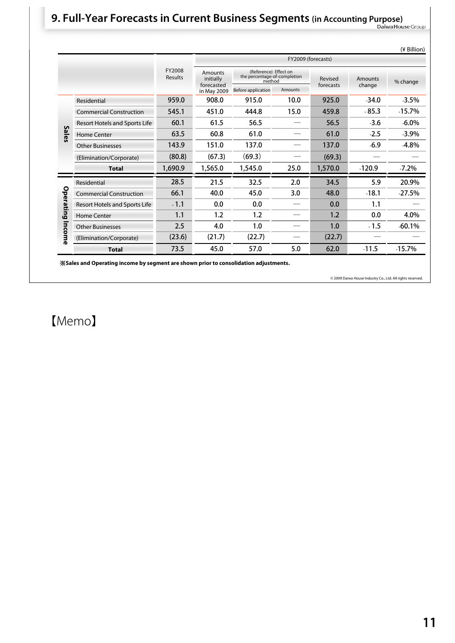# **9. Full-Year Forecasts in Current Business Segments (in Accounting Purpose)**

|           |                                |                          |                             |                                                                 |                    |           |          | (¥ Billion) |
|-----------|--------------------------------|--------------------------|-----------------------------|-----------------------------------------------------------------|--------------------|-----------|----------|-------------|
|           |                                |                          |                             |                                                                 | FY2009 (forecasts) |           |          |             |
|           |                                | FY2008<br><b>Results</b> | <b>Amounts</b><br>initially | (Reference) Effect on<br>the percentage-of-completion<br>method |                    | Revised   | Amounts  | % change    |
|           |                                |                          | forecasted<br>in May 2009   | Before application                                              | <b>Amounts</b>     | forecasts | change   |             |
|           | Residential                    | 959.0                    | 908.0                       | 915.0                                                           | 10.0               | 925.0     | $-34.0$  | $-3.5%$     |
|           | <b>Commercial Construction</b> | 545.1                    | 451.0                       | 444.8                                                           | 15.0               | 459.8     | $-85.3$  | $-15.7%$    |
|           | Resort Hotels and Sports Life  | 60.1                     | 61.5                        | 56.5                                                            |                    | 56.5      | $-3.6$   | $-6.0\%$    |
| Sales     | <b>Home Center</b>             | 63.5                     | 60.8                        | 61.0                                                            |                    | 61.0      | $-2.5$   | $-3.9%$     |
|           | <b>Other Businesses</b>        | 143.9                    | 151.0                       | 137.0                                                           |                    | 137.0     | $-6.9$   | $-4.8%$     |
|           | (Elimination/Corporate)        | (80.8)                   | (67.3)                      | (69.3)                                                          |                    | (69.3)    |          |             |
|           | <b>Total</b>                   | 1,690.9                  | 1,565.0                     | 1,545.0                                                         | 25.0               | 1,570.0   | $-120.9$ | $-7.2%$     |
|           | Residential                    | 28.5                     | 21.5                        | 32.5                                                            | 2.0                | 34.5      | 5.9      | 20.9%       |
|           | <b>Commercial Construction</b> | 66.1                     | 40.0                        | 45.0                                                            | 3.0                | 48.0      | $-18.1$  | $-27.5%$    |
| Operating | Resort Hotels and Sports Life  | $-1.1$                   | 0.0                         | 0.0                                                             |                    | 0.0       | 1.1      |             |
|           | <b>Home Center</b>             | 1.1                      | 1.2                         | 1.2                                                             |                    | 1.2       | 0.0      | 4.0%        |
|           | <b>Other Businesses</b>        | 2.5                      | 4.0                         | 1.0                                                             |                    | 1.0       | $-1.5$   | $-60.1%$    |
| ncome     | (Elimination/Corporate)        | (23.6)                   | (21.7)                      | (22.7)                                                          |                    | (22.7)    |          |             |
|           | <b>Total</b>                   | 73.5                     | 45.0                        | 57.0                                                            | 5.0                | 62.0      | $-11.5$  | $-15.7%$    |

※**Sales and Operating income by segment are shown prior to consolidation adjustments.**

© 2009 Daiwa House Industry Co., Ltd. All rights reserved.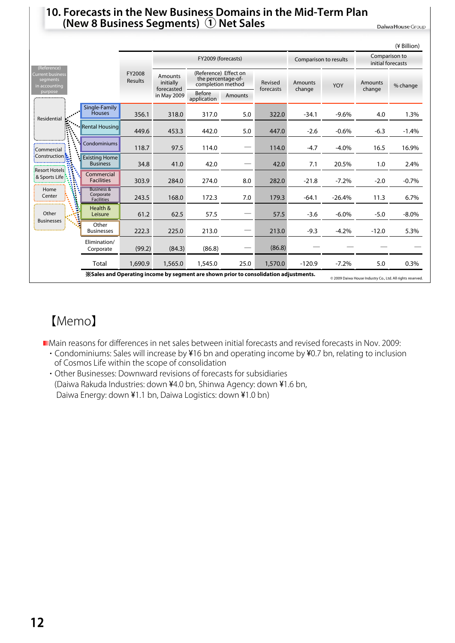#### **10. Forecasts in the New Business Domains in the Mid-Term Plan (New 8 Business Segments) ① Net Sales**

Daiwa House Group

|                                                                                                                                                       |                                                                                       |                          |                                           |                                                                  |                |                      |                                                            |                       |                          | (¥ Billion)                        |  |
|-------------------------------------------------------------------------------------------------------------------------------------------------------|---------------------------------------------------------------------------------------|--------------------------|-------------------------------------------|------------------------------------------------------------------|----------------|----------------------|------------------------------------------------------------|-----------------------|--------------------------|------------------------------------|--|
|                                                                                                                                                       |                                                                                       |                          | FY2009 (forecasts)                        |                                                                  |                |                      |                                                            | Comparison to results |                          | Comparison to<br>initial forecasts |  |
| (Reference)<br><b>Current business</b><br>segments<br>in accounting                                                                                   |                                                                                       | FY2008<br><b>Results</b> | <b>Amounts</b><br>initially<br>forecasted | (Reference) Effect on<br>the percentage-of-<br>completion method |                | Revised<br>forecasts | <b>Amounts</b><br>change                                   | YOY                   | <b>Amounts</b><br>change | % change                           |  |
| purpose<br>                                                                                                                                           |                                                                                       |                          | in May 2009                               | Before<br>application                                            | <b>Amounts</b> |                      |                                                            |                       |                          |                                    |  |
| Residential                                                                                                                                           | Single-Family<br><b>Houses</b>                                                        | 356.1                    | 318.0                                     | 317.0                                                            | 5.0            | 322.0                | $-34.1$                                                    | $-9.6%$               | 4.0                      | 1.3%                               |  |
|                                                                                                                                                       | ** Rental Housing                                                                     | 449.6                    | 453.3                                     | 442.0                                                            | 5.0            | 447.0                | $-2.6$                                                     | $-0.6%$               | $-6.3$                   | $-1.4%$                            |  |
| :Commercial                                                                                                                                           | Condominiums                                                                          | 118.7                    | 97.5                                      | 114.0                                                            |                | 114.0                | $-4.7$                                                     | $-4.0%$               | 16.5                     | 16.9%                              |  |
|                                                                                                                                                       | <b>Existing Home</b><br><b>Business</b>                                               | 34.8                     | 41.0                                      | 42.0                                                             |                | 42.0                 | 7.1                                                        | 20.5%                 | 1.0                      | 2.4%                               |  |
| : Construction <b>:</b><br>Resort Hotels:<br>Commercial<br>& Sports Life<br><b>Facilities</b><br><b>Business &amp;</b><br>Home<br>Corporate<br>Center | 303.9                                                                                 | 284.0                    | 274.0                                     | 8.0                                                              | 282.0          | $-21.8$              | $-7.2%$                                                    | $-2.0$                | $-0.7%$                  |                                    |  |
| i<br>Saint                                                                                                                                            | <b>Facilities</b>                                                                     | 243.5                    | 168.0                                     | 172.3                                                            | 7.0            | 179.3                | $-64.1$                                                    | $-26.4%$              | 11.3                     | 6.7%                               |  |
| Other<br><b>Businesses</b>                                                                                                                            | Health &<br>Leisure                                                                   | 61.2                     | 62.5                                      | 57.5                                                             |                | 57.5                 | $-3.6$                                                     | $-6.0\%$              | $-5.0$                   | $-8.0\%$                           |  |
|                                                                                                                                                       | Other<br><b>Businesses</b>                                                            | 222.3                    | 225.0                                     | 213.0                                                            |                | 213.0                | $-9.3$                                                     | $-4.2%$               | $-12.0$                  | 5.3%                               |  |
|                                                                                                                                                       | Elimination/<br>Corporate                                                             | (99.2)                   | (84.3)                                    | (86.8)                                                           |                | (86.8)               |                                                            |                       |                          |                                    |  |
|                                                                                                                                                       | Total                                                                                 | 1,690.9                  | 1,565.0                                   | 1,545.0                                                          | 25.0           | 1,570.0              | $-120.9$                                                   | $-7.2%$               | 5.0                      | 0.3%                               |  |
|                                                                                                                                                       | X Sales and Operating income by segment are shown prior to consolidation adjustments. |                          |                                           |                                                                  |                |                      | C 2009 Daiwa House Industry Co., Ltd. All rights reserved. |                       |                          |                                    |  |

# 【Memo】

Main reasons for differences in net sales between initial forecasts and revised forecasts in Nov. 2009:

- ・ Condominiums: Sales will increase by ¥16 bn and operating income by ¥0.7 bn, relating to inclusion of Cosmos Life within the scope of consolidation
- ・ Other Businesses: Downward revisions of forecasts for subsidiaries (Daiwa Rakuda Industries: down ¥4.0 bn, Shinwa Agency: down ¥1.6 bn, Daiwa Energy: down ¥1.1 bn, Daiwa Logistics: down ¥1.0 bn)